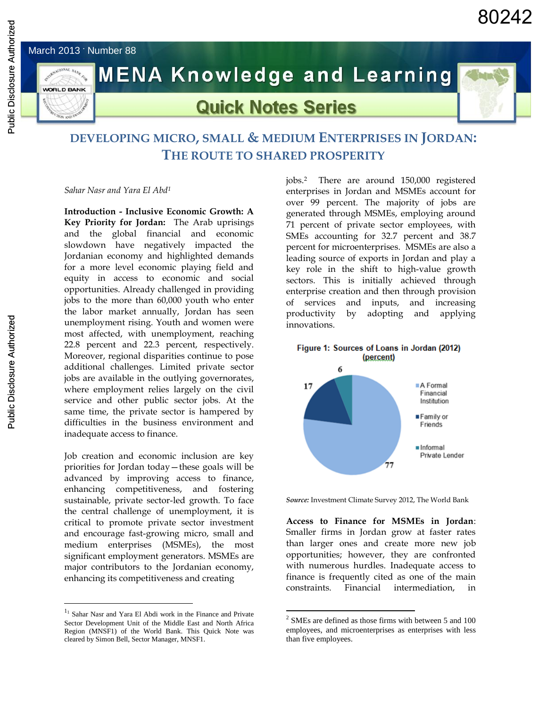



# **MENA Knowledge and Learning**

## **Quick Notes Series**



### **DEVELOPING MICRO, SMALL & MEDIUM ENTERPRISES IN JORDAN: THE ROUTE TO SHARED PROSPERITY**

*Sahar Nasr and Yara El Abd<sup>1</sup>*

**Introduction - Inclusive Economic Growth: A Key Priority for Jordan:** The Arab uprisings and the global financial and economic slowdown have negatively impacted the Jordanian economy and highlighted demands for a more level economic playing field and equity in access to economic and social opportunities. Already challenged in providing jobs to the more than 60,000 youth who enter the labor market annually, Jordan has seen unemployment rising. Youth and women were most affected, with unemployment, reaching 22.8 percent and 22.3 percent, respectively. Moreover, regional disparities continue to pose additional challenges. Limited private sector jobs are available in the outlying governorates, where employment relies largely on the civil service and other public sector jobs. At the same time, the private sector is hampered by difficulties in the business environment and inadequate access to finance.

Job creation and economic inclusion are key priorities for Jordan today—these goals will be advanced by improving access to finance, enhancing competitiveness, and fostering sustainable, private sector-led growth. To face the central challenge of unemployment, it is critical to promote private sector investment and encourage fast-growing micro, small and medium enterprises (MSMEs), the most significant employment generators. MSMEs are major contributors to the Jordanian economy, enhancing its competitiveness and creating

 $\overline{a}$ 

jobs. <sup>2</sup> There are around 150,000 registered enterprises in Jordan and MSMEs account for over 99 percent. The majority of jobs are generated through MSMEs, employing around 71 percent of private sector employees, with SMEs accounting for 32.7 percent and 38.7 percent for microenterprises. MSMEs are also a leading source of exports in Jordan and play a key role in the shift to high-value growth sectors. This is initially achieved through enterprise creation and then through provision of services and inputs, and increasing productivity by adopting and applying innovations.





*Source:* Investment Climate Survey 2012, The World Bank

**Access to Finance for MSMEs in Jordan**: Smaller firms in Jordan grow at faster rates than larger ones and create more new job opportunities; however, they are confronted with numerous hurdles. Inadequate access to finance is frequently cited as one of the main constraints. Financial intermediation.

 $\overline{a}$ 

 $1<sup>1</sup>$  Sahar Nasr and Yara El Abdi work in the Finance and Private Sector Development Unit of the Middle East and North Africa Region (MNSF1) of the World Bank. This Quick Note was cleared by Simon Bell, Sector Manager, MNSF1.

<sup>2</sup> SMEs are defined as those firms with between 5 and 100 employees, and microenterprises as enterprises with less than five employees.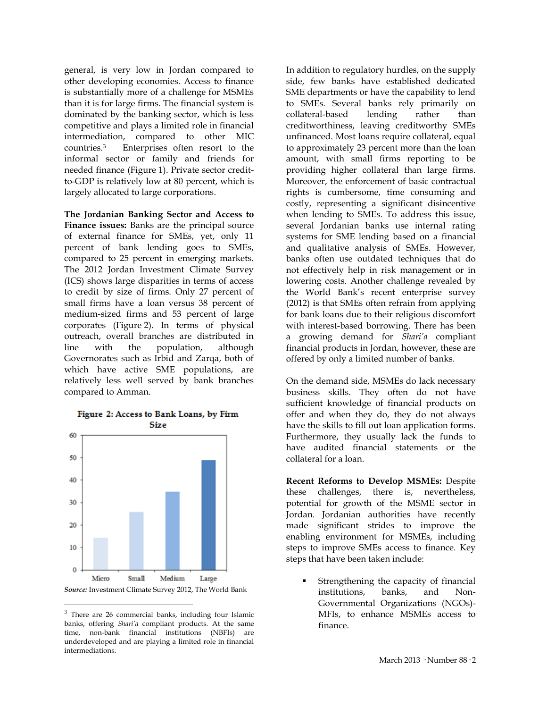general, is very low in Jordan compared to other developing economies. Access to finance is substantially more of a challenge for MSMEs than it is for large firms. The financial system is dominated by the banking sector, which is less competitive and plays a limited role in financial intermediation, compared to other MIC countries.<sup>3</sup> Enterprises often resort to the informal sector or family and friends for needed finance (Figure 1). Private sector creditto-GDP is relatively low at 80 percent, which is largely allocated to large corporations.

**The Jordanian Banking Sector and Access to Finance issues:** Banks are the principal source of external finance for SMEs, yet, only 11 percent of bank lending goes to SMEs, compared to 25 percent in emerging markets. The 2012 Jordan Investment Climate Survey (ICS) shows large disparities in terms of access to credit by size of firms. Only 27 percent of small firms have a loan versus 38 percent of medium-sized firms and 53 percent of large corporates (Figure 2). In terms of physical outreach, overall branches are distributed in line with the population, although Governorates such as Irbid and Zarqa, both of which have active SME populations, are relatively less well served by bank branches compared to Amman.



#### Figure 2: Access to Bank Loans, by Firm Size

 $\overline{a}$ 

In addition to regulatory hurdles, on the supply side, few banks have established dedicated SME departments or have the capability to lend to SMEs. Several banks rely primarily on collateral-based lending rather than creditworthiness, leaving creditworthy SMEs unfinanced. Most loans require collateral, equal to approximately 23 percent more than the loan amount, with small firms reporting to be providing higher collateral than large firms. Moreover, the enforcement of basic contractual rights is cumbersome, time consuming and costly, representing a significant disincentive when lending to SMEs. To address this issue, several Jordanian banks use internal rating systems for SME lending based on a financial and qualitative analysis of SMEs. However, banks often use outdated techniques that do not effectively help in risk management or in lowering costs. Another challenge revealed by the World Bank's recent enterprise survey (2012) is that SMEs often refrain from applying for bank loans due to their religious discomfort with interest-based borrowing. There has been a growing demand for *Shari'a* compliant financial products in Jordan, however, these are offered by only a limited number of banks.

On the demand side, MSMEs do lack necessary business skills. They often do not have sufficient knowledge of financial products on offer and when they do, they do not always have the skills to fill out loan application forms. Furthermore, they usually lack the funds to have audited financial statements or the collateral for a loan.

**Recent Reforms to Develop MSMEs:** Despite these challenges, there is, nevertheless, potential for growth of the MSME sector in Jordan. Jordanian authorities have recently made significant strides to improve the enabling environment for MSMEs, including steps to improve SMEs access to finance. Key steps that have been taken include:

 Strengthening the capacity of financial institutions, banks, and Non-Governmental Organizations (NGOs)- MFIs, to enhance MSMEs access to finance.

<sup>&</sup>lt;sup>3</sup> There are 26 commercial banks, including four Islamic banks, offering *Shari'a* compliant products. At the same time, non-bank financial institutions (NBFIs) are underdeveloped and are playing a limited role in financial intermediations.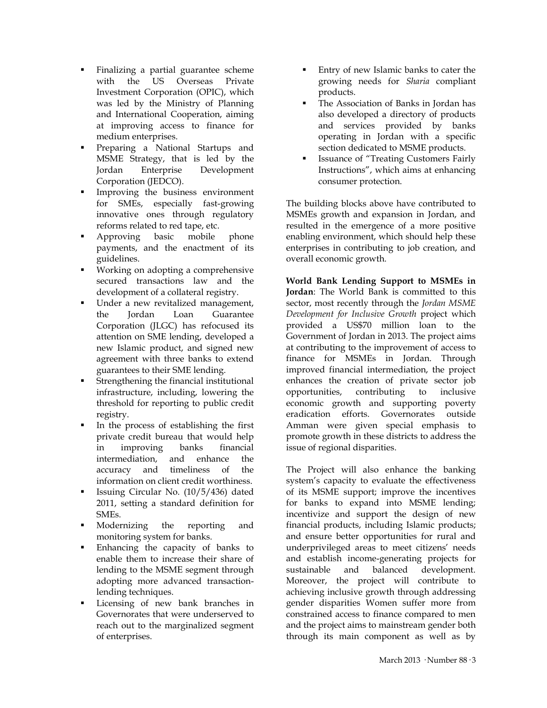- Finalizing a partial guarantee scheme with the US Overseas Private Investment Corporation (OPIC), which was led by the Ministry of Planning and International Cooperation, aiming at improving access to finance for medium enterprises.
- Preparing a National Startups and MSME Strategy, that is led by the Jordan Enterprise Development Corporation (JEDCO).
- Improving the business environment for SMEs, especially fast-growing innovative ones through regulatory reforms related to red tape, etc.
- Approving basic mobile phone payments, and the enactment of its guidelines.
- Working on adopting a comprehensive secured transactions law and the development of a collateral registry.
- Under a new revitalized management, the Jordan Loan Guarantee Corporation (JLGC) has refocused its attention on SME lending, developed a new Islamic product, and signed new agreement with three banks to extend guarantees to their SME lending.
- Strengthening the financial institutional infrastructure, including, lowering the threshold for reporting to public credit registry.
- In the process of establishing the first private credit bureau that would help in improving banks financial intermediation, and enhance the accuracy and timeliness of the information on client credit worthiness.
- Issuing Circular No. (10/5/436) dated 2011, setting a standard definition for SMEs.
- Modernizing the reporting and monitoring system for banks.
- Enhancing the capacity of banks to enable them to increase their share of lending to the MSME segment through adopting more advanced transactionlending techniques.
- Licensing of new bank branches in Governorates that were underserved to reach out to the marginalized segment of enterprises.
- **Entry of new Islamic banks to cater the** growing needs for *Sharia* compliant products.
- The Association of Banks in Jordan has also developed a directory of products and services provided by banks operating in Jordan with a specific section dedicated to MSME products.
- Issuance of "Treating Customers Fairly Instructions", which aims at enhancing consumer protection.

The building blocks above have contributed to MSMEs growth and expansion in Jordan, and resulted in the emergence of a more positive enabling environment, which should help these enterprises in contributing to job creation, and overall economic growth.

**World Bank Lending Support to MSMEs in Jordan**: The World Bank is committed to this sector, most recently through the *Jordan MSME Development for Inclusive Growth* project which provided a US\$70 million loan to the Government of Jordan in 2013. The project aims at contributing to the improvement of access to finance for MSMEs in Jordan. Through improved financial intermediation, the project enhances the creation of private sector job opportunities, contributing to inclusive economic growth and supporting poverty eradication efforts. Governorates outside Amman were given special emphasis to promote growth in these districts to address the issue of regional disparities.

The Project will also enhance the banking system's capacity to evaluate the effectiveness of its MSME support; improve the incentives for banks to expand into MSME lending; incentivize and support the design of new financial products, including Islamic products; and ensure better opportunities for rural and underprivileged areas to meet citizens' needs and establish income-generating projects for sustainable and balanced development. Moreover, the project will contribute to achieving inclusive growth through addressing gender disparities Women suffer more from constrained access to finance compared to men and the project aims to mainstream gender both through its main component as well as by